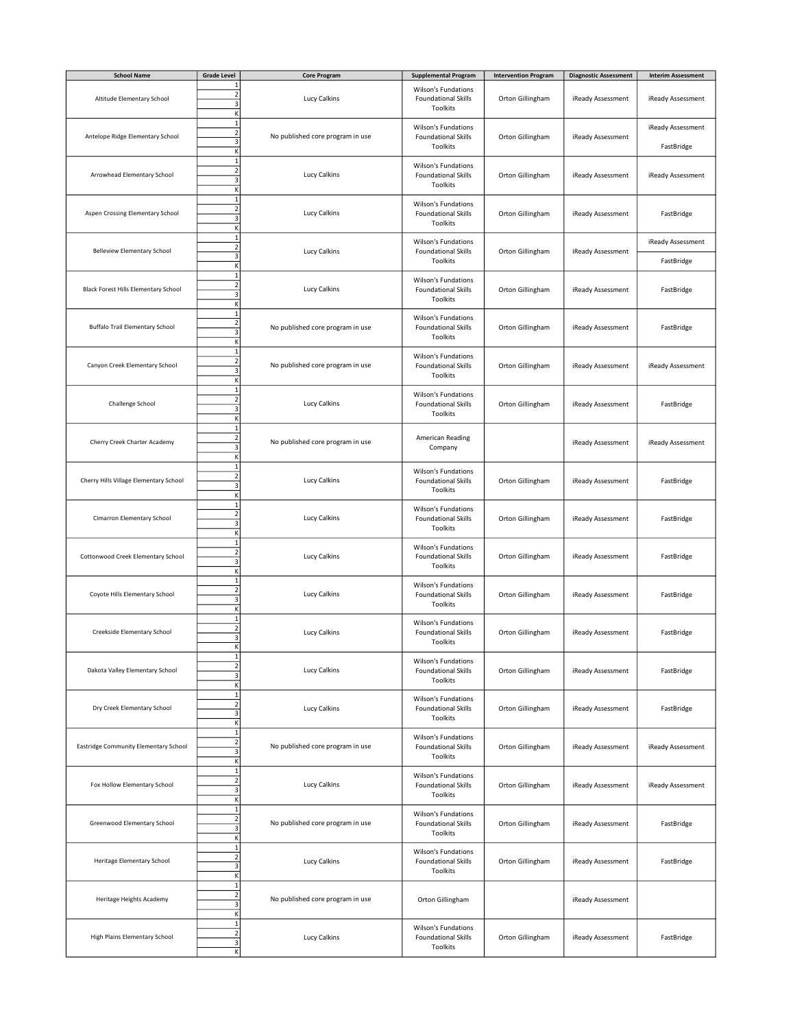| <b>School Name</b>                          | <b>Grade Level</b>                                                      | <b>Core Program</b>              | <b>Supplemental Program</b>                                          | <b>Intervention Program</b> | <b>Diagnostic Assessment</b> | <b>Interim Assessment</b>       |
|---------------------------------------------|-------------------------------------------------------------------------|----------------------------------|----------------------------------------------------------------------|-----------------------------|------------------------------|---------------------------------|
| Altitude Elementary School                  | $\overline{c}$<br>3<br>К                                                | Lucy Calkins                     | Wilson's Fundations<br><b>Foundational Skills</b><br>Toolkits        | Orton Gillingham            | iReady Assessment            | iReady Assessment               |
| Antelope Ridge Elementary School            | $\,1\,$<br>$\overline{2}$<br>$\overline{\mathbf{3}}$<br>К               | No published core program in use | Wilson's Fundations<br><b>Foundational Skills</b><br>Toolkits        | Orton Gillingham            | iReady Assessment            | iReady Assessment<br>FastBridge |
| Arrowhead Elementary School                 | $\mathbf 1$<br>$\overline{2}$<br>$\overline{\mathbf{3}}$<br>K           | Lucy Calkins                     | Wilson's Fundations<br><b>Foundational Skills</b><br>Toolkits        | Orton Gillingham            | iReady Assessment            | iReady Assessment               |
| Aspen Crossing Elementary School            | $\mathbf 1$<br>$\overline{\mathbf{c}}$<br>3<br>К                        | Lucy Calkins                     | Wilson's Fundations<br><b>Foundational Skills</b><br>Toolkits        | Orton Gillingham            | iReady Assessment            | FastBridge                      |
| Belleview Elementary School                 | $\,1\,$<br>$\overline{2}$<br>3                                          | Lucy Calkins                     | Wilson's Fundations<br><b>Foundational Skills</b><br>Toolkits        | Orton Gillingham            | iReady Assessment            | iReady Assessment<br>FastBridge |
| <b>Black Forest Hills Elementary School</b> | K<br>$\mathbf 1$<br>$\overline{\mathbf{c}}$<br>3<br>K                   | Lucy Calkins                     | Wilson's Fundations<br><b>Foundational Skills</b><br>Toolkits        | Orton Gillingham            | iReady Assessment            | FastBridge                      |
| <b>Buffalo Trail Elementary School</b>      | $\,1\,$<br>$\overline{2}$<br>3<br>K                                     | No published core program in use | Wilson's Fundations<br><b>Foundational Skills</b><br>Toolkits        | Orton Gillingham            | iReady Assessment            | FastBridge                      |
| Canyon Creek Elementary School              | $\mathbf 1$<br>$\overline{\mathbf{c}}$<br>3<br>K                        | No published core program in use | <b>Wilson's Fundations</b><br><b>Foundational Skills</b><br>Toolkits | Orton Gillingham            | iReady Assessment            | iReady Assessment               |
| Challenge School                            | $\mathbf{1}$<br>$\overline{2}$<br>$\overline{\mathbf{3}}$<br>K          | Lucy Calkins                     | Wilson's Fundations<br><b>Foundational Skills</b><br>Toolkits        | Orton Gillingham            | iReady Assessment            | FastBridge                      |
| Cherry Creek Charter Academy                | $\mathbf 1$<br>$\mathbf{2}$<br>$\mathsf 3$<br>K                         | No published core program in use | American Reading<br>Company                                          |                             | iReady Assessment            | iReady Assessment               |
| Cherry Hills Village Elementary School      | $\overline{1}$<br>$\overline{2}$<br>3<br>К                              | Lucy Calkins                     | Wilson's Fundations<br><b>Foundational Skills</b><br>Toolkits        | Orton Gillingham            | iReady Assessment            | FastBridge                      |
| Cimarron Elementary School                  | $\,1\,$<br>$\overline{2}$<br>$\overline{\mathbf{3}}$<br>К               | Lucy Calkins                     | Wilson's Fundations<br><b>Foundational Skills</b><br>Toolkits        | Orton Gillingham            | iReady Assessment            | FastBridge                      |
| Cottonwood Creek Elementary School          | $\mathbf 1$<br>$\overline{2}$<br>3<br>К                                 | Lucy Calkins                     | Wilson's Fundations<br><b>Foundational Skills</b><br>Toolkits        | Orton Gillingham            | iReady Assessment            | FastBridge                      |
| Coyote Hills Elementary School              | $1\,$<br>$\overline{2}$<br>$\overline{\mathbf{3}}$<br>K                 | Lucy Calkins                     | Wilson's Fundations<br><b>Foundational Skills</b><br>Toolkits        | Orton Gillingham            | iReady Assessment            | FastBridge                      |
| Creekside Elementary School                 | $\,1\,$<br>$\overline{2}$<br>$\ensuremath{\mathsf{3}}$<br>K             | Lucy Calkins                     | Wilson's Fundations<br><b>Foundational Skills</b><br>Toolkits        | Orton Gillingham            | iReady Assessment            | FastBridge                      |
| Dakota Valley Elementary School             | $\mathbf{1}$<br>$\mathbf{2}$<br>$\overline{\mathbf{3}}$<br>К            | Lucy Calkins                     | Wilson's Fundations<br><b>Foundational Skills</b><br>Toolkits        | Orton Gillingham            | iReady Assessment            | FastBridge                      |
| Dry Creek Elementary School                 | $\mathbf 1$<br>$\overline{2}$<br>3<br>К                                 | Lucy Calkins                     | Wilson's Fundations<br><b>Foundational Skills</b><br>Toolkits        | Orton Gillingham            | iReady Assessment            | FastBridge                      |
| Eastridge Community Elementary School       | $\mathbf 1$<br>$\mathbf{2}$<br>3<br>К                                   | No published core program in use | Wilson's Fundations<br><b>Foundational Skills</b><br>Toolkits        | Orton Gillingham            | iReady Assessment            | iReady Assessment               |
| Fox Hollow Elementary School                | $\,1\,$<br>$\mathbf{2}$<br>$\overline{\mathbf{3}}$<br>$\sf K$           | Lucy Calkins                     | Wilson's Fundations<br><b>Foundational Skills</b><br>Toolkits        | Orton Gillingham            | iReady Assessment            | iReady Assessment               |
| Greenwood Elementary School                 | $\mathbf 1$<br>$\mathbf{2}$<br>3<br>К                                   | No published core program in use | <b>Wilson's Fundations</b><br><b>Foundational Skills</b><br>Toolkits | Orton Gillingham            | iReady Assessment            | FastBridge                      |
| Heritage Elementary School                  | $\,1\,$<br>$\mathbf{2}$<br>$\ensuremath{\mathsf{3}}$<br>$\mathsf K$     | Lucy Calkins                     | Wilson's Fundations<br><b>Foundational Skills</b><br>Toolkits        | Orton Gillingham            | iReady Assessment            | FastBridge                      |
| Heritage Heights Academy                    | $\mathbf{1}$<br>$\overline{\mathbf{2}}$<br>$\overline{\mathbf{3}}$<br>К | No published core program in use | Orton Gillingham                                                     |                             | iReady Assessment            |                                 |
| High Plains Elementary School               | $\mathbf{1}$<br>$\mathbf{2}$<br>$\ensuremath{\mathsf{3}}$<br>K          | Lucy Calkins                     | Wilson's Fundations<br><b>Foundational Skills</b><br>Toolkits        | Orton Gillingham            | iReady Assessment            | FastBridge                      |